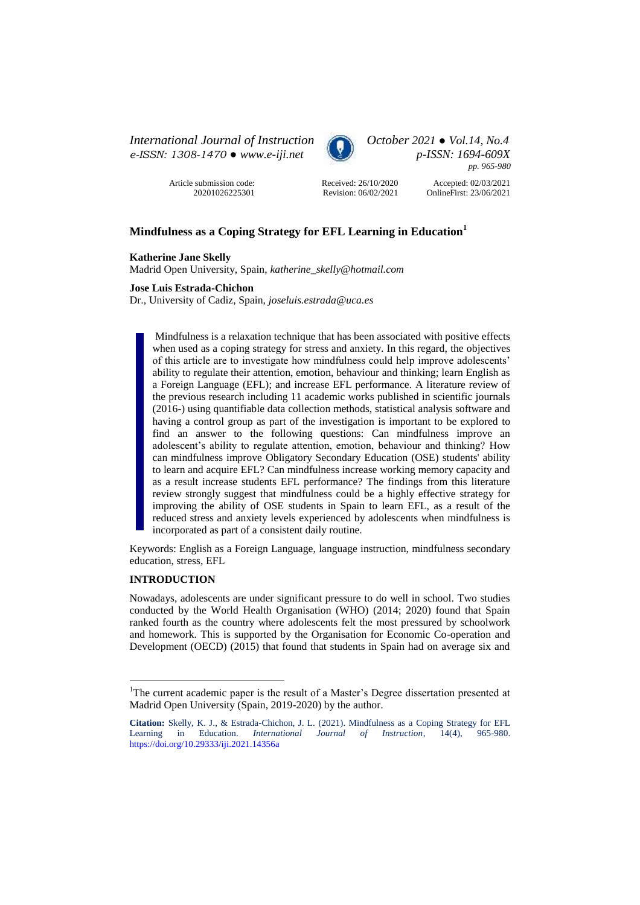*International Journal of Instruction October 2021 ● Vol.14, No.4 e-ISSN: 1308-1470 ● [www.e-iji.net](http://www.e-iji.net/) p-ISSN: 1694-609X*



*pp. 965-980*

Article submission code: 20201026225301



Accepted: 02/03/2021 OnlineFirst: 23/06/2021

# **Mindfulness as a Coping Strategy for EFL Learning in Education<sup>1</sup>**

## **Katherine Jane Skelly**

Madrid Open University, Spain, *katherine\_skelly@hotmail.com*

## **Jose Luis Estrada-Chichon**

Dr., University of Cadiz, Spain, *joseluis.estrada@uca.es*

Mindfulness is a relaxation technique that has been associated with positive effects when used as a coping strategy for stress and anxiety. In this regard, the objectives of this article are to investigate how mindfulness could help improve adolescents' ability to regulate their attention, emotion, behaviour and thinking; learn English as a Foreign Language (EFL); and increase EFL performance. A literature review of the previous research including 11 academic works published in scientific journals (2016-) using quantifiable data collection methods, statistical analysis software and having a control group as part of the investigation is important to be explored to find an answer to the following questions: Can mindfulness improve an adolescent's ability to regulate attention, emotion, behaviour and thinking? How can mindfulness improve Obligatory Secondary Education (OSE) students' ability to learn and acquire EFL? Can mindfulness increase working memory capacity and as a result increase students EFL performance? The findings from this literature review strongly suggest that mindfulness could be a highly effective strategy for improving the ability of OSE students in Spain to learn EFL, as a result of the reduced stress and anxiety levels experienced by adolescents when mindfulness is incorporated as part of a consistent daily routine.

Keywords: English as a Foreign Language, language instruction, mindfulness secondary education, stress, EFL

#### **INTRODUCTION**

 $\overline{a}$ 

Nowadays, adolescents are under significant pressure to do well in school. Two studies conducted by the World Health Organisation (WHO) (2014; 2020) found that Spain ranked fourth as the country where adolescents felt the most pressured by schoolwork and homework. This is supported by the Organisation for Economic Co-operation and Development (OECD) (2015) that found that students in Spain had on average six and

<sup>&</sup>lt;sup>1</sup>The current academic paper is the result of a Master's Degree dissertation presented at Madrid Open University (Spain, 2019-2020) by the author.

**Citation:** Skelly, K. J., & Estrada-Chichon, J. L. (2021). Mindfulness as a Coping Strategy for EFL Learning in Education. *International Journal of Instruction*, 14(4), <https://doi.org/10.29333/iji.2021.14356a>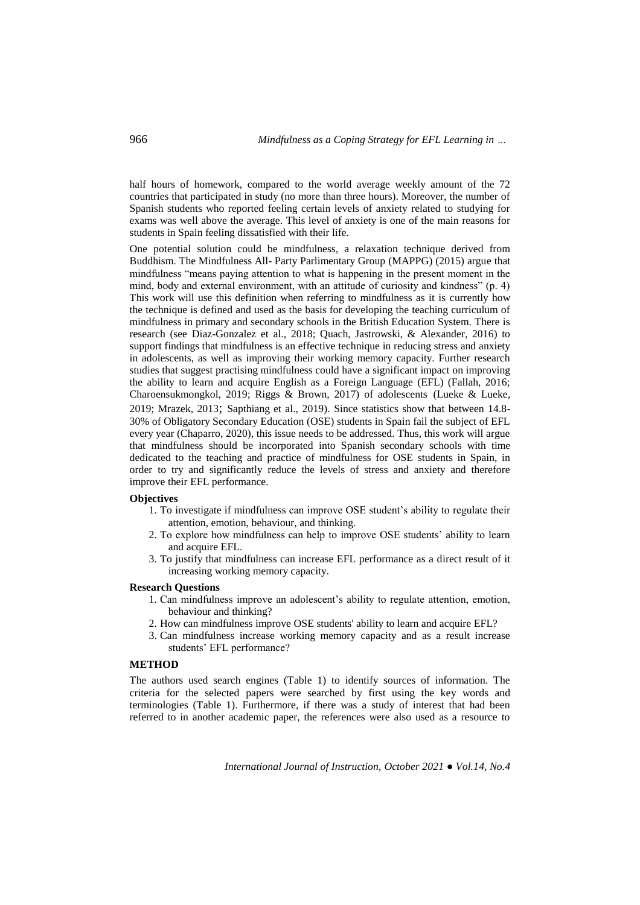half hours of homework, compared to the world average weekly amount of the 72 countries that participated in study (no more than three hours). Moreover, the number of Spanish students who reported feeling certain levels of anxiety related to studying for exams was well above the average. This level of anxiety is one of the main reasons for students in Spain feeling dissatisfied with their life.

One potential solution could be mindfulness, a relaxation technique derived from Buddhism. The Mindfulness All- Party Parlimentary Group (MAPPG) (2015) argue that mindfulness "means paying attention to what is happening in the present moment in the mind, body and external environment, with an attitude of curiosity and kindness" (p. 4) This work will use this definition when referring to mindfulness as it is currently how the technique is defined and used as the basis for developing the teaching curriculum of mindfulness in primary and secondary schools in the British Education System. There is research (see Diaz-Gonzalez et al., 2018; Quach, Jastrowski, & Alexander, 2016) to support findings that mindfulness is an effective technique in reducing stress and anxiety in adolescents, as well as improving their working memory capacity. Further research studies that suggest practising mindfulness could have a significant impact on improving the ability to learn and acquire English as a Foreign Language (EFL) (Fallah, 2016; Charoensukmongkol, 2019; Riggs & Brown, 2017) of adolescents (Lueke & Lueke, 2019; Mrazek, 2013; Sapthiang et al., 2019). Since statistics show that between 14.8- 30% of Obligatory Secondary Education (OSE) students in Spain fail the subject of EFL every year (Chaparro, 2020), this issue needs to be addressed. Thus, this work will argue that mindfulness should be incorporated into Spanish secondary schools with time dedicated to the teaching and practice of mindfulness for OSE students in Spain, in order to try and significantly reduce the levels of stress and anxiety and therefore improve their EFL performance.

## **Objectives**

- 1. To investigate if mindfulness can improve OSE student's ability to regulate their attention, emotion, behaviour, and thinking.
- 2. To explore how mindfulness can help to improve OSE students' ability to learn and acquire EFL.
- 3. To justify that mindfulness can increase EFL performance as a direct result of it increasing working memory capacity.

# **Research Questions**

- 1. Can mindfulness improve an adolescent's ability to regulate attention, emotion, behaviour and thinking?
- 2. How can mindfulness improve OSE students' ability to learn and acquire EFL?
- 3. Can mindfulness increase working memory capacity and as a result increase students' EFL performance?

### **METHOD**

The authors used search engines (Table 1) to identify sources of information. The criteria for the selected papers were searched by first using the key words and terminologies (Table 1). Furthermore, if there was a study of interest that had been referred to in another academic paper, the references were also used as a resource to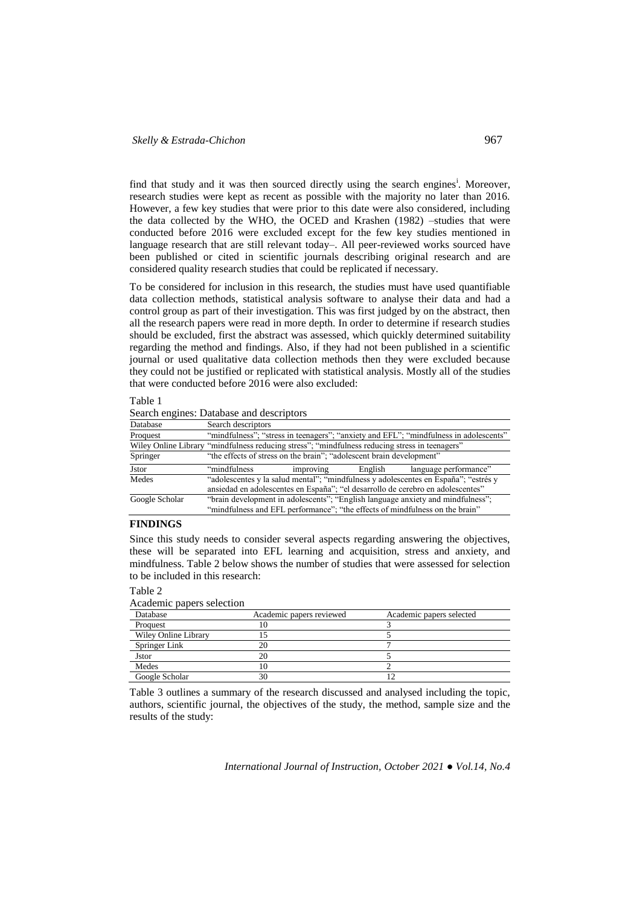find that study and it was then sourced directly using the search engines<sup>i</sup>. Moreover, research studies were kept as recent as possible with the majority no later than 2016. However, a few key studies that were prior to this date were also considered, including the data collected by the WHO, the OCED and Krashen (1982) –studies that were conducted before 2016 were excluded except for the few key studies mentioned in language research that are still relevant today–. All peer-reviewed works sourced have been published or cited in scientific journals describing original research and are considered quality research studies that could be replicated if necessary.

To be considered for inclusion in this research, the studies must have used quantifiable data collection methods, statistical analysis software to analyse their data and had a control group as part of their investigation. This was first judged by on the abstract, then all the research papers were read in more depth. In order to determine if research studies should be excluded, first the abstract was assessed, which quickly determined suitability regarding the method and findings. Also, if they had not been published in a scientific journal or used qualitative data collection methods then they were excluded because they could not be justified or replicated with statistical analysis. Mostly all of the studies that were conducted before 2016 were also excluded:

#### Table 1

Search engines: Database and descriptors

| Database                                                                                       | Search descriptors                                                                    |                                                                                 |                                                                                 |                                                                                     |  |
|------------------------------------------------------------------------------------------------|---------------------------------------------------------------------------------------|---------------------------------------------------------------------------------|---------------------------------------------------------------------------------|-------------------------------------------------------------------------------------|--|
| Proquest                                                                                       | "mindfulness"; "stress in teenagers"; "anxiety and EFL"; "mindfulness in adolescents" |                                                                                 |                                                                                 |                                                                                     |  |
| Wiley Online Library "mindfulness reducing stress"; "mindfulness reducing stress in teenagers" |                                                                                       |                                                                                 |                                                                                 |                                                                                     |  |
| Springer                                                                                       | "the effects of stress on the brain"; "adolescent brain development"                  |                                                                                 |                                                                                 |                                                                                     |  |
| <b>J</b> stor                                                                                  | "mindfulness"                                                                         | improving                                                                       | English                                                                         | language performance"                                                               |  |
| Medes                                                                                          |                                                                                       |                                                                                 |                                                                                 | "adolescentes y la salud mental"; "mindfulness y adolescentes en España"; "estrés y |  |
|                                                                                                |                                                                                       | ansiedad en adolescentes en España"; "el desarrollo de cerebro en adolescentes" |                                                                                 |                                                                                     |  |
| Google Scholar                                                                                 |                                                                                       |                                                                                 | "brain development in adolescents"; "English language anxiety and mindfulness"; |                                                                                     |  |
|                                                                                                | "mindfulness and EFL performance"; "the effects of mindfulness on the brain"          |                                                                                 |                                                                                 |                                                                                     |  |

#### **FINDINGS**

Since this study needs to consider several aspects regarding answering the objectives, these will be separated into EFL learning and acquisition, stress and anxiety, and mindfulness. Table 2 below shows the number of studies that were assessed for selection to be included in this research:

#### Table 2

Academic papers selection

| Database             | Academic papers reviewed | Academic papers selected |
|----------------------|--------------------------|--------------------------|
| Proquest             |                          |                          |
| Wiley Online Library |                          |                          |
| Springer Link        |                          |                          |
| <b>J</b> stor        |                          |                          |
| Medes                |                          |                          |
| Google Scholar       | 30                       |                          |

Table 3 outlines a summary of the research discussed and analysed including the topic, authors, scientific journal, the objectives of the study, the method, sample size and the results of the study: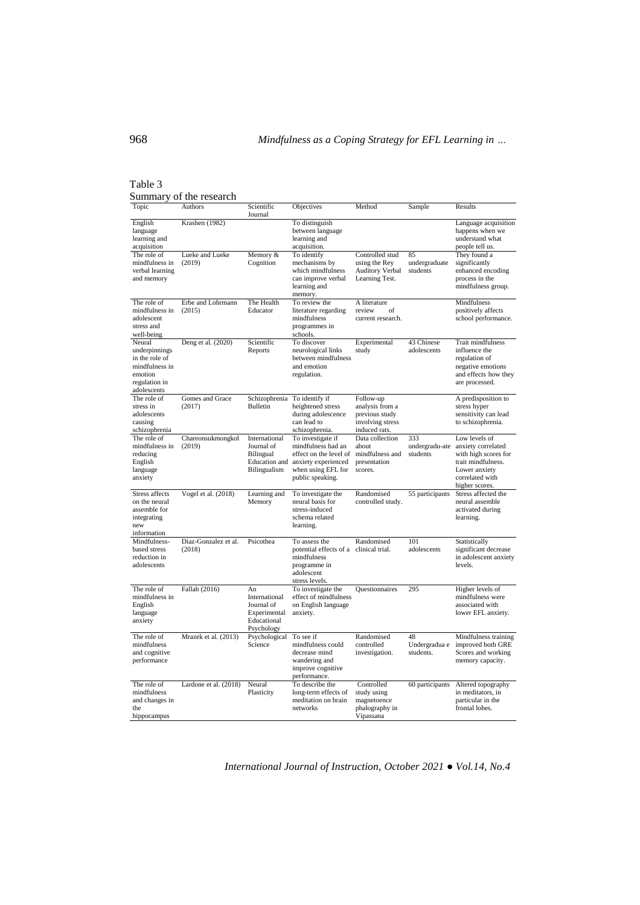## Table 3 Summary of the research

| Topic                                                                                                  | Authors                        | Scientific<br>Journal                                                          | Objectives                                                                                                                                       | Method                                                                              | Sample                            | Results                                                                                                                                 |
|--------------------------------------------------------------------------------------------------------|--------------------------------|--------------------------------------------------------------------------------|--------------------------------------------------------------------------------------------------------------------------------------------------|-------------------------------------------------------------------------------------|-----------------------------------|-----------------------------------------------------------------------------------------------------------------------------------------|
| English<br>language<br>learning and<br>acquisition                                                     | Krashen (1982)                 |                                                                                | To distinguish<br>between language<br>learning and<br>acquisition.                                                                               |                                                                                     |                                   | Language acquisition<br>happens when we<br>understand what<br>people tell us.                                                           |
| The role of<br>mindfulness in<br>verbal learning<br>and memory                                         | Lueke and Lueke<br>(2019)      | Memory &<br>Cognition                                                          | To identify<br>mechanisms by<br>which mindfulness<br>can improve verbal<br>learning and<br>memory.                                               | Controlled stud<br>using the Rey<br><b>Auditory Verbal</b><br>Learning Test.        | 85<br>undergraduate<br>students   | They found a<br>significantly<br>enhanced encoding<br>process in the<br>mindfulness group.                                              |
| The role of<br>mindfulness in<br>adolescent<br>stress and<br>well-being                                | Erbe and Lohrmann<br>(2015)    | The Health<br>Educator                                                         | To review the<br>literature regarding<br>mindfulness<br>programmes in<br>schools.                                                                | A literature<br>review<br>of<br>current research.                                   |                                   | Mindfulness<br>positively affects<br>school performance.                                                                                |
| Neural<br>underpinnings<br>in the role of<br>mindfulness in<br>emotion<br>regulation in<br>adolescents | Deng et al. (2020)             | Scientific<br>Reports                                                          | To discover<br>neurological links<br>between mindfulness<br>and emotion<br>regulation.                                                           | Experimental<br>study                                                               | 43 Chinese<br>adolescents         | Trait mindfulness<br>influence the<br>regulation of<br>negative emotions<br>and effects how they<br>are processed.                      |
| The role of<br>stress in<br>adolescents<br>causing<br>schizophrenia                                    | Gomes and Grace<br>(2017)      | Schizophrenia<br><b>Bulletin</b>                                               | To identify if<br>heightened stress<br>during adolescence<br>can lead to<br>schizophrenia.                                                       | Follow-up<br>analysis from a<br>previous study<br>involving stress<br>induced rats. |                                   | A predisposition to<br>stress hyper<br>sensitivity can lead<br>to schizophrenia.                                                        |
| The role of<br>mindfulness in<br>reducing<br>English<br>language<br>anxiety                            | Chareonsukmongkol<br>(2019)    | International<br>Journal of<br><b>Bilingual</b><br>Bilingualism                | To investigate if<br>mindfulness had an<br>effect on the level of<br>Education and anxiety experienced<br>when using EFL for<br>public speaking. | Data collection<br>about<br>mindfulness and<br>presentation<br>scores.              | 333<br>undergradu-ate<br>students | Low levels of<br>anxiety correlated<br>with high scores for<br>trait mindfulness.<br>Lower anxiety<br>correlated with<br>higher scores. |
| Stress affects<br>on the neural<br>assemble for<br>integrating<br>new<br>information                   | Vogel et al. (2018)            | Learning and<br>Memory                                                         | To investigate the<br>neural basis for<br>stress-induced<br>schema related<br>learning.                                                          | Randomised<br>controlled study.                                                     | 55 participants                   | Stress affected the<br>neural assemble<br>activated during<br>learning.                                                                 |
| Mindfulness-<br>based stress<br>reduction in<br>adolescents                                            | Diaz-Gonzalez et al.<br>(2018) | Psicothea                                                                      | To assess the<br>potential effects of a clinical trial.<br>mindfulness<br>programme in<br>adolescent<br>stress levels.                           | Randomised                                                                          | 101<br>adolescents                | Statistically<br>significant decrease<br>in adolescent anxiety<br>levels.                                                               |
| The role of<br>mindfulness in<br>English<br>language<br>anxiety                                        | Fallah (2016)                  | An<br>International<br>Journal of<br>Experimental<br>Educational<br>Psychology | To investigate the<br>effect of mindfulness<br>on English language<br>anxiety.                                                                   | Questionnaires                                                                      | 295                               | Higher levels of<br>mindfulness were<br>associated with<br>lower EFL anxiety.                                                           |
| The role of<br>mindfulness<br>and cognitive<br>performance                                             | Mrazek et al. (2013)           | Psychological<br>Science                                                       | To see if<br>mindfulness could<br>decrease mind<br>wandering and<br>improve cognitive<br>performance.                                            | Randomised<br>controlled<br>investigation.                                          | 48<br>Undergradua e<br>students.  | Mindfulness training<br>improved both GRE<br>Scores and working<br>memory capacity.                                                     |
| The role of<br>mindfulness<br>and changes in<br>the<br>hippocampus                                     | Lardone et al. (2018)          | Neural<br>Plasticity                                                           | To describe the<br>long-term effects of<br>meditation on brain<br>networks                                                                       | Controlled<br>study using<br>magnetoence<br>phalography in<br>Vipassana             | 60 participants                   | Altered topography<br>in meditators, in<br>particular in the<br>frontal lobes.                                                          |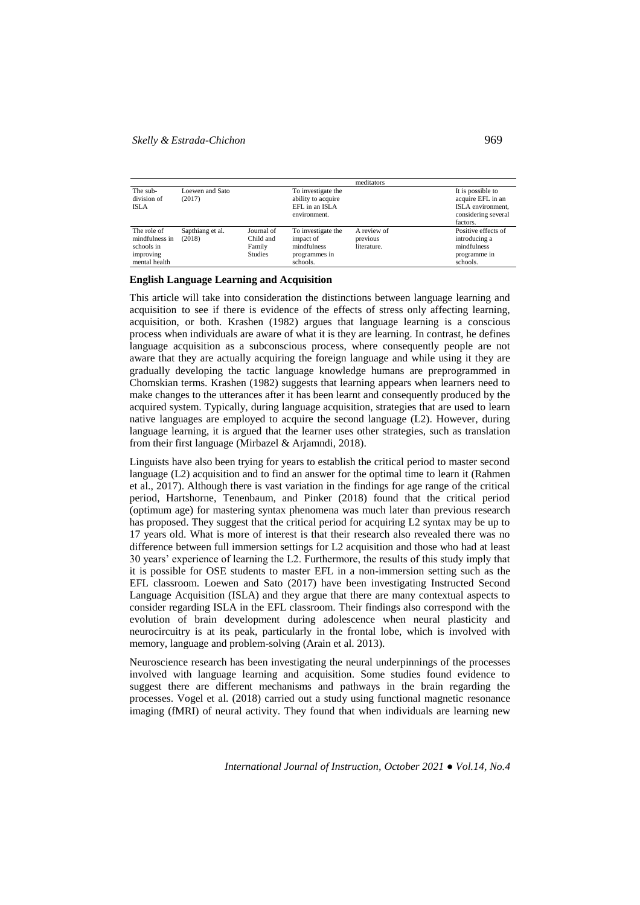## *Skelly & Estrada-Chichon* 969

|                                                                           |                            |                                                     |                                                                             | meditators                             |                                                                                                |
|---------------------------------------------------------------------------|----------------------------|-----------------------------------------------------|-----------------------------------------------------------------------------|----------------------------------------|------------------------------------------------------------------------------------------------|
| The sub-<br>division of<br><b>ISLA</b>                                    | Loewen and Sato<br>(2017)  |                                                     | To investigate the<br>ability to acquire<br>EFL in an ISLA<br>environment.  |                                        | It is possible to<br>acquire EFL in an<br>ISLA environment.<br>considering several<br>factors. |
| The role of<br>mindfulness in<br>schools in<br>improving<br>mental health | Sapthiang et al.<br>(2018) | Journal of<br>Child and<br>Family<br><b>Studies</b> | To investigate the<br>impact of<br>mindfulness<br>programmes in<br>schools. | A review of<br>previous<br>literature. | Positive effects of<br>introducing a<br>mindfulness<br>programme in<br>schools.                |

#### **English Language Learning and Acquisition**

This article will take into consideration the distinctions between language learning and acquisition to see if there is evidence of the effects of stress only affecting learning, acquisition, or both. Krashen (1982) argues that language learning is a conscious process when individuals are aware of what it is they are learning. In contrast, he defines language acquisition as a subconscious process, where consequently people are not aware that they are actually acquiring the foreign language and while using it they are gradually developing the tactic language knowledge humans are preprogrammed in Chomskian terms. Krashen (1982) suggests that learning appears when learners need to make changes to the utterances after it has been learnt and consequently produced by the acquired system. Typically, during language acquisition, strategies that are used to learn native languages are employed to acquire the second language (L2). However, during language learning, it is argued that the learner uses other strategies, such as translation from their first language (Mirbazel & Arjamndi, 2018).

Linguists have also been trying for years to establish the critical period to master second language (L2) acquisition and to find an answer for the optimal time to learn it (Rahmen et al., 2017). Although there is vast variation in the findings for age range of the critical period, Hartshorne, Tenenbaum, and Pinker (2018) found that the critical period (optimum age) for mastering syntax phenomena was much later than previous research has proposed. They suggest that the critical period for acquiring L2 syntax may be up to 17 years old. What is more of interest is that their research also revealed there was no difference between full immersion settings for L2 acquisition and those who had at least 30 years' experience of learning the L2. Furthermore, the results of this study imply that it is possible for OSE students to master EFL in a non-immersion setting such as the EFL classroom. Loewen and Sato (2017) have been investigating Instructed Second Language Acquisition (ISLA) and they argue that there are many contextual aspects to consider regarding ISLA in the EFL classroom. Their findings also correspond with the evolution of brain development during adolescence when neural plasticity and neurocircuitry is at its peak, particularly in the frontal lobe, which is involved with memory, language and problem-solving (Arain et al. 2013).

Neuroscience research has been investigating the neural underpinnings of the processes involved with language learning and acquisition. Some studies found evidence to suggest there are different mechanisms and pathways in the brain regarding the processes. Vogel et al. (2018) carried out a study using functional magnetic resonance imaging (fMRI) of neural activity. They found that when individuals are learning new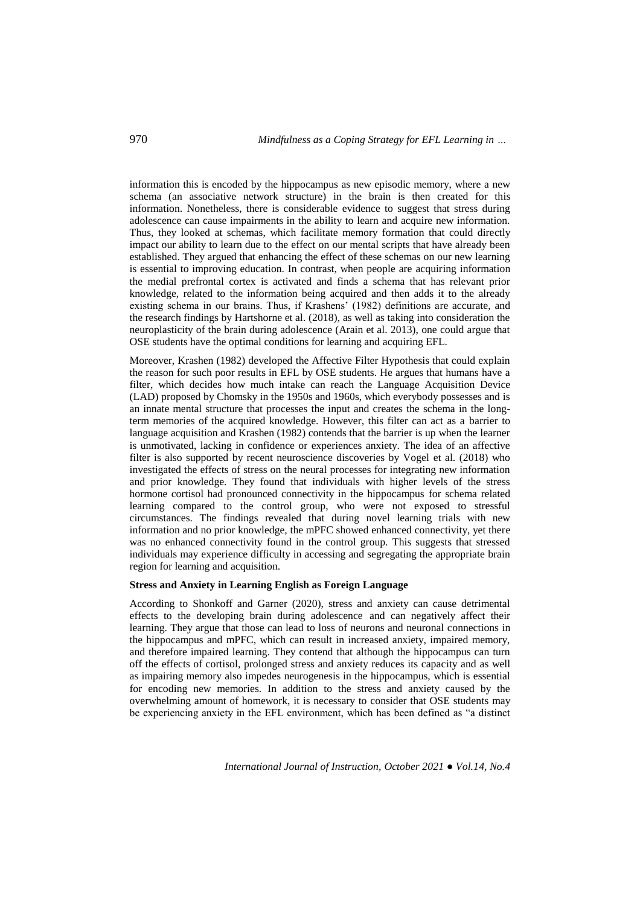information this is encoded by the hippocampus as new episodic memory, where a new schema (an associative network structure) in the brain is then created for this information. Nonetheless, there is considerable evidence to suggest that stress during adolescence can cause impairments in the ability to learn and acquire new information. Thus, they looked at schemas, which facilitate memory formation that could directly impact our ability to learn due to the effect on our mental scripts that have already been established. They argued that enhancing the effect of these schemas on our new learning is essential to improving education. In contrast, when people are acquiring information the medial prefrontal cortex is activated and finds a schema that has relevant prior knowledge, related to the information being acquired and then adds it to the already existing schema in our brains. Thus, if Krashens' (1982) definitions are accurate, and the research findings by Hartshorne et al. (2018), as well as taking into consideration the neuroplasticity of the brain during adolescence (Arain et al. 2013), one could argue that OSE students have the optimal conditions for learning and acquiring EFL.

Moreover, Krashen (1982) developed the Affective Filter Hypothesis that could explain the reason for such poor results in EFL by OSE students. He argues that humans have a filter, which decides how much intake can reach the Language Acquisition Device (LAD) proposed by Chomsky in the 1950s and 1960s, which everybody possesses and is an innate mental structure that processes the input and creates the schema in the longterm memories of the acquired knowledge. However, this filter can act as a barrier to language acquisition and Krashen (1982) contends that the barrier is up when the learner is unmotivated, lacking in confidence or experiences anxiety. The idea of an affective filter is also supported by recent neuroscience discoveries by Vogel et al. (2018) who investigated the effects of stress on the neural processes for integrating new information and prior knowledge. They found that individuals with higher levels of the stress hormone cortisol had pronounced connectivity in the hippocampus for schema related learning compared to the control group, who were not exposed to stressful circumstances. The findings revealed that during novel learning trials with new information and no prior knowledge, the mPFC showed enhanced connectivity, yet there was no enhanced connectivity found in the control group. This suggests that stressed individuals may experience difficulty in accessing and segregating the appropriate brain region for learning and acquisition.

## **Stress and Anxiety in Learning English as Foreign Language**

According to Shonkoff and Garner (2020), stress and anxiety can cause detrimental effects to the developing brain during adolescence and can negatively affect their learning. They argue that those can lead to loss of neurons and neuronal connections in the hippocampus and mPFC, which can result in increased anxiety, impaired memory, and therefore impaired learning. They contend that although the hippocampus can turn off the effects of cortisol, prolonged stress and anxiety reduces its capacity and as well as impairing memory also impedes neurogenesis in the hippocampus, which is essential for encoding new memories. In addition to the stress and anxiety caused by the overwhelming amount of homework, it is necessary to consider that OSE students may be experiencing anxiety in the EFL environment, which has been defined as "a distinct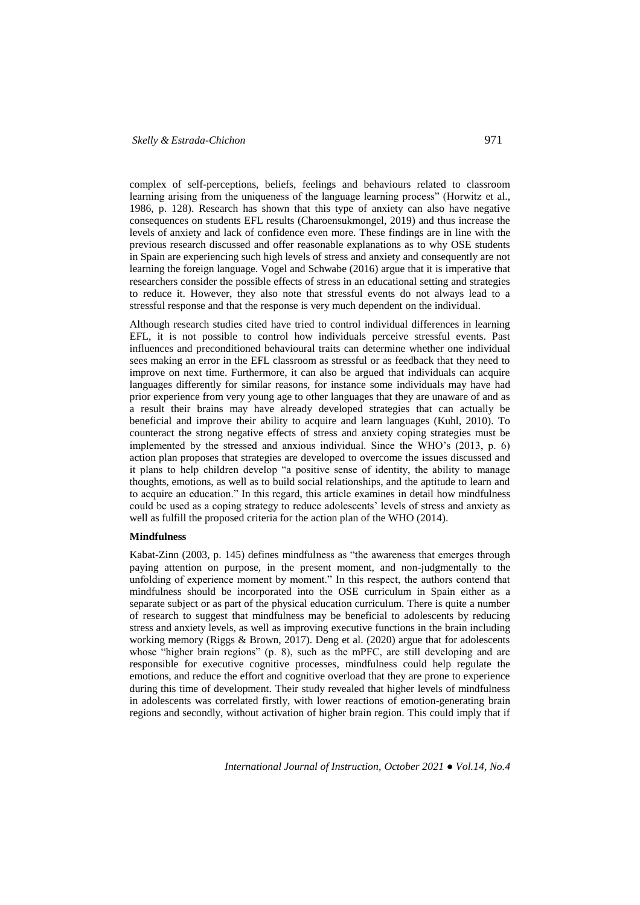complex of self-perceptions, beliefs, feelings and behaviours related to classroom learning arising from the uniqueness of the language learning process" (Horwitz et al., 1986, p. 128). Research has shown that this type of anxiety can also have negative consequences on students EFL results (Charoensukmongel, 2019) and thus increase the levels of anxiety and lack of confidence even more. These findings are in line with the previous research discussed and offer reasonable explanations as to why OSE students in Spain are experiencing such high levels of stress and anxiety and consequently are not learning the foreign language. Vogel and Schwabe (2016) argue that it is imperative that researchers consider the possible effects of stress in an educational setting and strategies to reduce it. However, they also note that stressful events do not always lead to a stressful response and that the response is very much dependent on the individual.

Although research studies cited have tried to control individual differences in learning EFL, it is not possible to control how individuals perceive stressful events. Past influences and preconditioned behavioural traits can determine whether one individual sees making an error in the EFL classroom as stressful or as feedback that they need to improve on next time. Furthermore, it can also be argued that individuals can acquire languages differently for similar reasons, for instance some individuals may have had prior experience from very young age to other languages that they are unaware of and as a result their brains may have already developed strategies that can actually be beneficial and improve their ability to acquire and learn languages (Kuhl, 2010). To counteract the strong negative effects of stress and anxiety coping strategies must be implemented by the stressed and anxious individual. Since the WHO's (2013, p. 6) action plan proposes that strategies are developed to overcome the issues discussed and it plans to help children develop "a positive sense of identity, the ability to manage thoughts, emotions, as well as to build social relationships, and the aptitude to learn and to acquire an education." In this regard, this article examines in detail how mindfulness could be used as a coping strategy to reduce adolescents' levels of stress and anxiety as well as fulfill the proposed criteria for the action plan of the WHO (2014).

## **Mindfulness**

Kabat-Zinn (2003, p. 145) defines mindfulness as "the awareness that emerges through paying attention on purpose, in the present moment, and non-judgmentally to the unfolding of experience moment by moment." In this respect, the authors contend that mindfulness should be incorporated into the OSE curriculum in Spain either as a separate subject or as part of the physical education curriculum. There is quite a number of research to suggest that mindfulness may be beneficial to adolescents by reducing stress and anxiety levels, as well as improving executive functions in the brain including working memory (Riggs & Brown, 2017). Deng et al. (2020) argue that for adolescents whose "higher brain regions" (p. 8), such as the mPFC, are still developing and are responsible for executive cognitive processes, mindfulness could help regulate the emotions, and reduce the effort and cognitive overload that they are prone to experience during this time of development. Their study revealed that higher levels of mindfulness in adolescents was correlated firstly, with lower reactions of emotion-generating brain regions and secondly, without activation of higher brain region. This could imply that if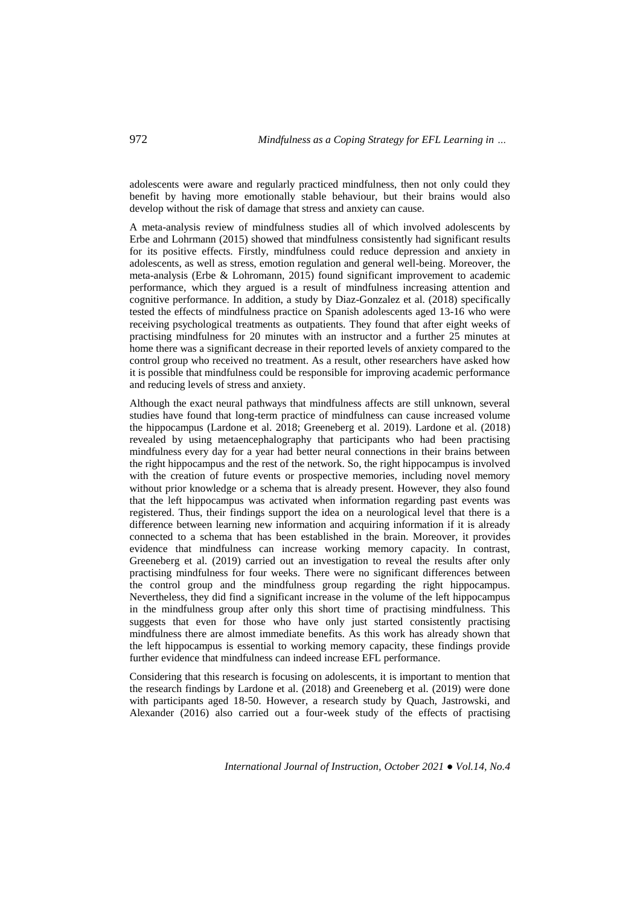adolescents were aware and regularly practiced mindfulness, then not only could they benefit by having more emotionally stable behaviour, but their brains would also develop without the risk of damage that stress and anxiety can cause.

A meta-analysis review of mindfulness studies all of which involved adolescents by Erbe and Lohrmann (2015) showed that mindfulness consistently had significant results for its positive effects. Firstly, mindfulness could reduce depression and anxiety in adolescents, as well as stress, emotion regulation and general well-being. Moreover, the meta-analysis (Erbe & Lohromann, 2015) found significant improvement to academic performance, which they argued is a result of mindfulness increasing attention and cognitive performance. In addition, a study by Diaz-Gonzalez et al. (2018) specifically tested the effects of mindfulness practice on Spanish adolescents aged 13-16 who were receiving psychological treatments as outpatients. They found that after eight weeks of practising mindfulness for 20 minutes with an instructor and a further 25 minutes at home there was a significant decrease in their reported levels of anxiety compared to the control group who received no treatment. As a result, other researchers have asked how it is possible that mindfulness could be responsible for improving academic performance and reducing levels of stress and anxiety.

Although the exact neural pathways that mindfulness affects are still unknown, several studies have found that long-term practice of mindfulness can cause increased volume the hippocampus (Lardone et al. 2018; Greeneberg et al. 2019). Lardone et al. (2018) revealed by using metaencephalography that participants who had been practising mindfulness every day for a year had better neural connections in their brains between the right hippocampus and the rest of the network. So, the right hippocampus is involved with the creation of future events or prospective memories, including novel memory without prior knowledge or a schema that is already present. However, they also found that the left hippocampus was activated when information regarding past events was registered. Thus, their findings support the idea on a neurological level that there is a difference between learning new information and acquiring information if it is already connected to a schema that has been established in the brain. Moreover, it provides evidence that mindfulness can increase working memory capacity. In contrast, Greeneberg et al. (2019) carried out an investigation to reveal the results after only practising mindfulness for four weeks. There were no significant differences between the control group and the mindfulness group regarding the right hippocampus. Nevertheless, they did find a significant increase in the volume of the left hippocampus in the mindfulness group after only this short time of practising mindfulness. This suggests that even for those who have only just started consistently practising mindfulness there are almost immediate benefits. As this work has already shown that the left hippocampus is essential to working memory capacity, these findings provide further evidence that mindfulness can indeed increase EFL performance.

Considering that this research is focusing on adolescents, it is important to mention that the research findings by Lardone et al. (2018) and Greeneberg et al. (2019) were done with participants aged 18-50. However, a research study by Quach, Jastrowski, and Alexander (2016) also carried out a four-week study of the effects of practising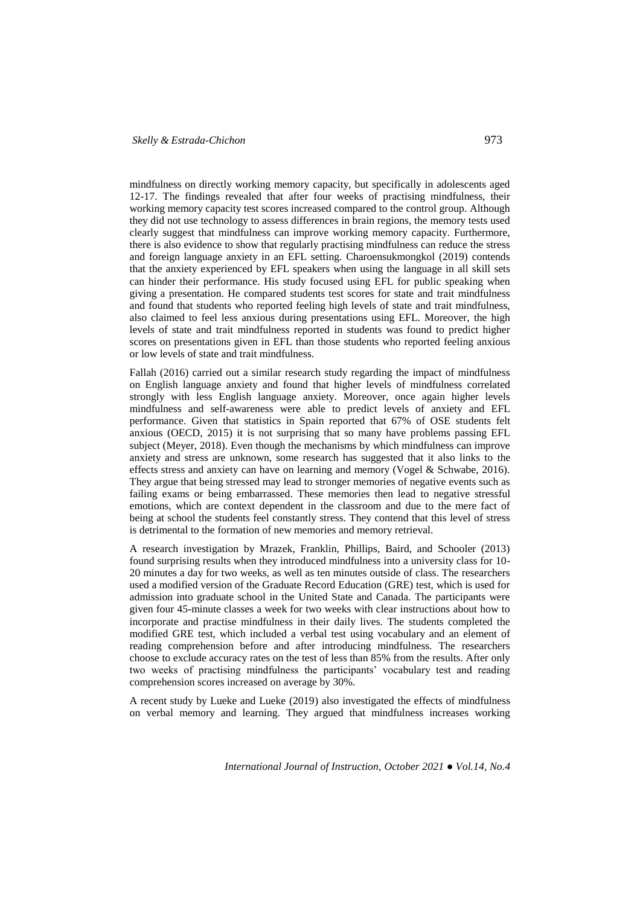mindfulness on directly working memory capacity, but specifically in adolescents aged 12-17. The findings revealed that after four weeks of practising mindfulness, their working memory capacity test scores increased compared to the control group. Although they did not use technology to assess differences in brain regions, the memory tests used clearly suggest that mindfulness can improve working memory capacity. Furthermore, there is also evidence to show that regularly practising mindfulness can reduce the stress and foreign language anxiety in an EFL setting. Charoensukmongkol (2019) contends that the anxiety experienced by EFL speakers when using the language in all skill sets can hinder their performance. His study focused using EFL for public speaking when giving a presentation. He compared students test scores for state and trait mindfulness and found that students who reported feeling high levels of state and trait mindfulness, also claimed to feel less anxious during presentations using EFL. Moreover, the high levels of state and trait mindfulness reported in students was found to predict higher scores on presentations given in EFL than those students who reported feeling anxious or low levels of state and trait mindfulness.

Fallah (2016) carried out a similar research study regarding the impact of mindfulness on English language anxiety and found that higher levels of mindfulness correlated strongly with less English language anxiety. Moreover, once again higher levels mindfulness and self-awareness were able to predict levels of anxiety and EFL performance. Given that statistics in Spain reported that 67% of OSE students felt anxious (OECD, 2015) it is not surprising that so many have problems passing EFL subject (Meyer, 2018). Even though the mechanisms by which mindfulness can improve anxiety and stress are unknown, some research has suggested that it also links to the effects stress and anxiety can have on learning and memory (Vogel & Schwabe, 2016). They argue that being stressed may lead to stronger memories of negative events such as failing exams or being embarrassed. These memories then lead to negative stressful emotions, which are context dependent in the classroom and due to the mere fact of being at school the students feel constantly stress. They contend that this level of stress is detrimental to the formation of new memories and memory retrieval.

A research investigation by Mrazek, Franklin, Phillips, Baird, and Schooler (2013) found surprising results when they introduced mindfulness into a university class for 10- 20 minutes a day for two weeks, as well as ten minutes outside of class. The researchers used a modified version of the Graduate Record Education (GRE) test, which is used for admission into graduate school in the United State and Canada. The participants were given four 45-minute classes a week for two weeks with clear instructions about how to incorporate and practise mindfulness in their daily lives. The students completed the modified GRE test, which included a verbal test using vocabulary and an element of reading comprehension before and after introducing mindfulness. The researchers choose to exclude accuracy rates on the test of less than 85% from the results. After only two weeks of practising mindfulness the participants' vocabulary test and reading comprehension scores increased on average by 30%.

A recent study by Lueke and Lueke (2019) also investigated the effects of mindfulness on verbal memory and learning. They argued that mindfulness increases working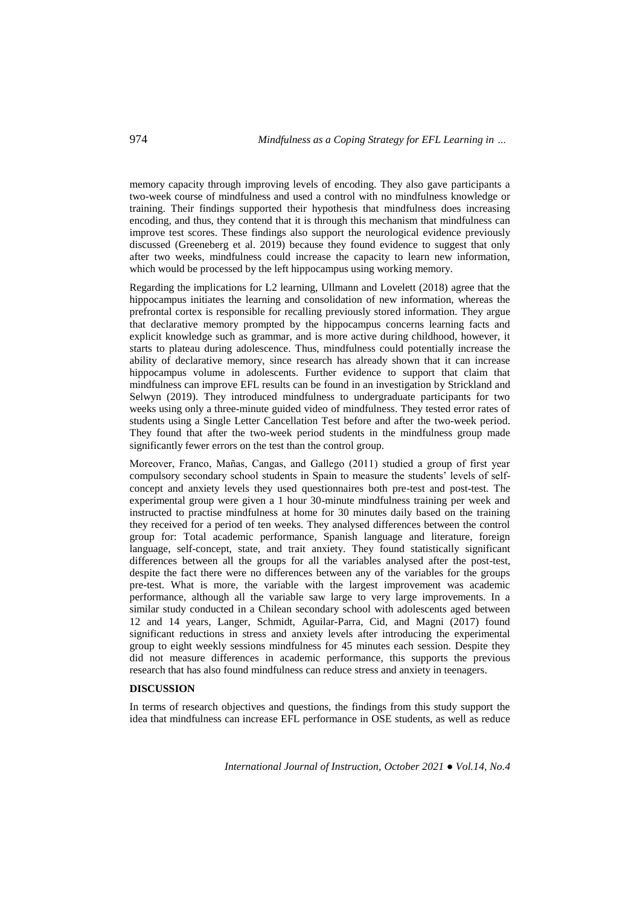memory capacity through improving levels of encoding. They also gave participants a two-week course of mindfulness and used a control with no mindfulness knowledge or training. Their findings supported their hypothesis that mindfulness does increasing encoding, and thus, they contend that it is through this mechanism that mindfulness can improve test scores. These findings also support the neurological evidence previously discussed (Greeneberg et al. 2019) because they found evidence to suggest that only after two weeks, mindfulness could increase the capacity to learn new information, which would be processed by the left hippocampus using working memory.

Regarding the implications for L2 learning, Ullmann and Lovelett (2018) agree that the hippocampus initiates the learning and consolidation of new information, whereas the prefrontal cortex is responsible for recalling previously stored information. They argue that declarative memory prompted by the hippocampus concerns learning facts and explicit knowledge such as grammar, and is more active during childhood, however, it starts to plateau during adolescence. Thus, mindfulness could potentially increase the ability of declarative memory, since research has already shown that it can increase hippocampus volume in adolescents. Further evidence to support that claim that mindfulness can improve EFL results can be found in an investigation by Strickland and Selwyn (2019). They introduced mindfulness to undergraduate participants for two weeks using only a three-minute guided video of mindfulness. They tested error rates of students using a Single Letter Cancellation Test before and after the two-week period. They found that after the two-week period students in the mindfulness group made significantly fewer errors on the test than the control group.

Moreover, Franco, Mañas, Cangas, and Gallego (2011) studied a group of first year compulsory secondary school students in Spain to measure the students' levels of selfconcept and anxiety levels they used questionnaires both pre-test and post-test. The experimental group were given a 1 hour 30-minute mindfulness training per week and instructed to practise mindfulness at home for 30 minutes daily based on the training they received for a period of ten weeks. They analysed differences between the control group for: Total academic performance, Spanish language and literature, foreign language, self-concept, state, and trait anxiety. They found statistically significant differences between all the groups for all the variables analysed after the post-test, despite the fact there were no differences between any of the variables for the groups pre-test. What is more, the variable with the largest improvement was academic performance, although all the variable saw large to very large improvements. In a similar study conducted in a Chilean secondary school with adolescents aged between 12 and 14 years, Langer, Schmidt, Aguilar-Parra, Cid, and Magni (2017) found significant reductions in stress and anxiety levels after introducing the experimental group to eight weekly sessions mindfulness for 45 minutes each session. Despite they did not measure differences in academic performance, this supports the previous research that has also found mindfulness can reduce stress and anxiety in teenagers.

## **DISCUSSION**

In terms of research objectives and questions, the findings from this study support the idea that mindfulness can increase EFL performance in OSE students, as well as reduce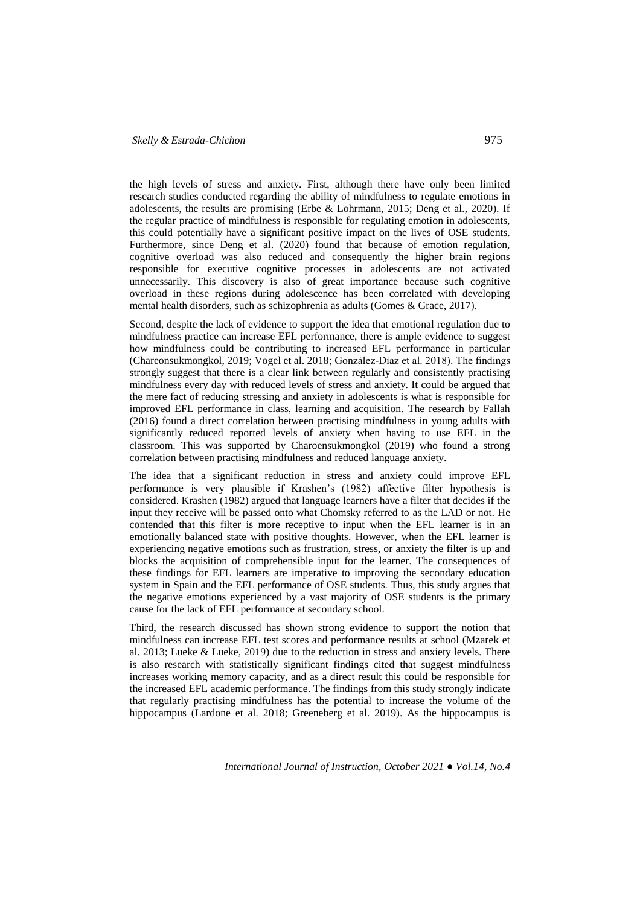the high levels of stress and anxiety. First, although there have only been limited research studies conducted regarding the ability of mindfulness to regulate emotions in adolescents, the results are promising (Erbe & Lohrmann, 2015; Deng et al., 2020). If the regular practice of mindfulness is responsible for regulating emotion in adolescents, this could potentially have a significant positive impact on the lives of OSE students. Furthermore, since Deng et al. (2020) found that because of emotion regulation, cognitive overload was also reduced and consequently the higher brain regions responsible for executive cognitive processes in adolescents are not activated unnecessarily. This discovery is also of great importance because such cognitive overload in these regions during adolescence has been correlated with developing mental health disorders, such as schizophrenia as adults (Gomes & Grace, 2017).

Second, despite the lack of evidence to support the idea that emotional regulation due to mindfulness practice can increase EFL performance, there is ample evidence to suggest how mindfulness could be contributing to increased EFL performance in particular (Chareonsukmongkol, 2019; Vogel et al. 2018; González-Díaz et al. 2018). The findings strongly suggest that there is a clear link between regularly and consistently practising mindfulness every day with reduced levels of stress and anxiety. It could be argued that the mere fact of reducing stressing and anxiety in adolescents is what is responsible for improved EFL performance in class, learning and acquisition. The research by Fallah (2016) found a direct correlation between practising mindfulness in young adults with significantly reduced reported levels of anxiety when having to use EFL in the classroom. This was supported by Charoensukmongkol (2019) who found a strong correlation between practising mindfulness and reduced language anxiety.

The idea that a significant reduction in stress and anxiety could improve EFL performance is very plausible if Krashen's (1982) affective filter hypothesis is considered. Krashen (1982) argued that language learners have a filter that decides if the input they receive will be passed onto what Chomsky referred to as the LAD or not. He contended that this filter is more receptive to input when the EFL learner is in an emotionally balanced state with positive thoughts. However, when the EFL learner is experiencing negative emotions such as frustration, stress, or anxiety the filter is up and blocks the acquisition of comprehensible input for the learner. The consequences of these findings for EFL learners are imperative to improving the secondary education system in Spain and the EFL performance of OSE students. Thus, this study argues that the negative emotions experienced by a vast majority of OSE students is the primary cause for the lack of EFL performance at secondary school.

Third, the research discussed has shown strong evidence to support the notion that mindfulness can increase EFL test scores and performance results at school (Mzarek et al. 2013; Lueke & Lueke, 2019) due to the reduction in stress and anxiety levels. There is also research with statistically significant findings cited that suggest mindfulness increases working memory capacity, and as a direct result this could be responsible for the increased EFL academic performance. The findings from this study strongly indicate that regularly practising mindfulness has the potential to increase the volume of the hippocampus (Lardone et al. 2018; Greeneberg et al. 2019). As the hippocampus is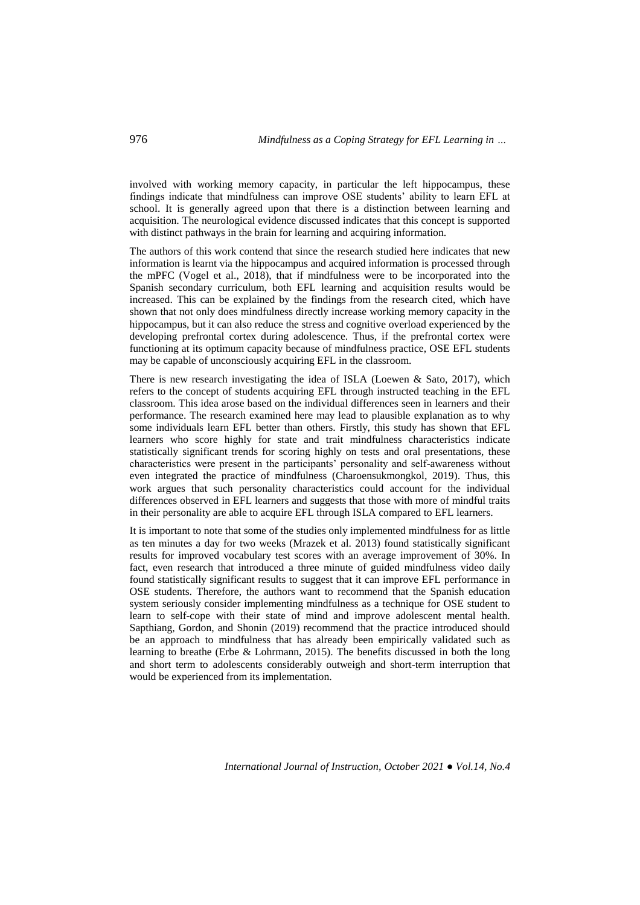involved with working memory capacity, in particular the left hippocampus, these findings indicate that mindfulness can improve OSE students' ability to learn EFL at school. It is generally agreed upon that there is a distinction between learning and acquisition. The neurological evidence discussed indicates that this concept is supported with distinct pathways in the brain for learning and acquiring information.

The authors of this work contend that since the research studied here indicates that new information is learnt via the hippocampus and acquired information is processed through the mPFC (Vogel et al., 2018), that if mindfulness were to be incorporated into the Spanish secondary curriculum, both EFL learning and acquisition results would be increased. This can be explained by the findings from the research cited, which have shown that not only does mindfulness directly increase working memory capacity in the hippocampus, but it can also reduce the stress and cognitive overload experienced by the developing prefrontal cortex during adolescence. Thus, if the prefrontal cortex were functioning at its optimum capacity because of mindfulness practice, OSE EFL students may be capable of unconsciously acquiring EFL in the classroom.

There is new research investigating the idea of ISLA (Loewen & Sato, 2017), which refers to the concept of students acquiring EFL through instructed teaching in the EFL classroom. This idea arose based on the individual differences seen in learners and their performance. The research examined here may lead to plausible explanation as to why some individuals learn EFL better than others. Firstly, this study has shown that EFL learners who score highly for state and trait mindfulness characteristics indicate statistically significant trends for scoring highly on tests and oral presentations, these characteristics were present in the participants' personality and self-awareness without even integrated the practice of mindfulness (Charoensukmongkol, 2019). Thus, this work argues that such personality characteristics could account for the individual differences observed in EFL learners and suggests that those with more of mindful traits in their personality are able to acquire EFL through ISLA compared to EFL learners.

It is important to note that some of the studies only implemented mindfulness for as little as ten minutes a day for two weeks (Mrazek et al. 2013) found statistically significant results for improved vocabulary test scores with an average improvement of 30%. In fact, even research that introduced a three minute of guided mindfulness video daily found statistically significant results to suggest that it can improve EFL performance in OSE students. Therefore, the authors want to recommend that the Spanish education system seriously consider implementing mindfulness as a technique for OSE student to learn to self-cope with their state of mind and improve adolescent mental health. Sapthiang, Gordon, and Shonin (2019) recommend that the practice introduced should be an approach to mindfulness that has already been empirically validated such as learning to breathe (Erbe & Lohrmann, 2015). The benefits discussed in both the long and short term to adolescents considerably outweigh and short-term interruption that would be experienced from its implementation.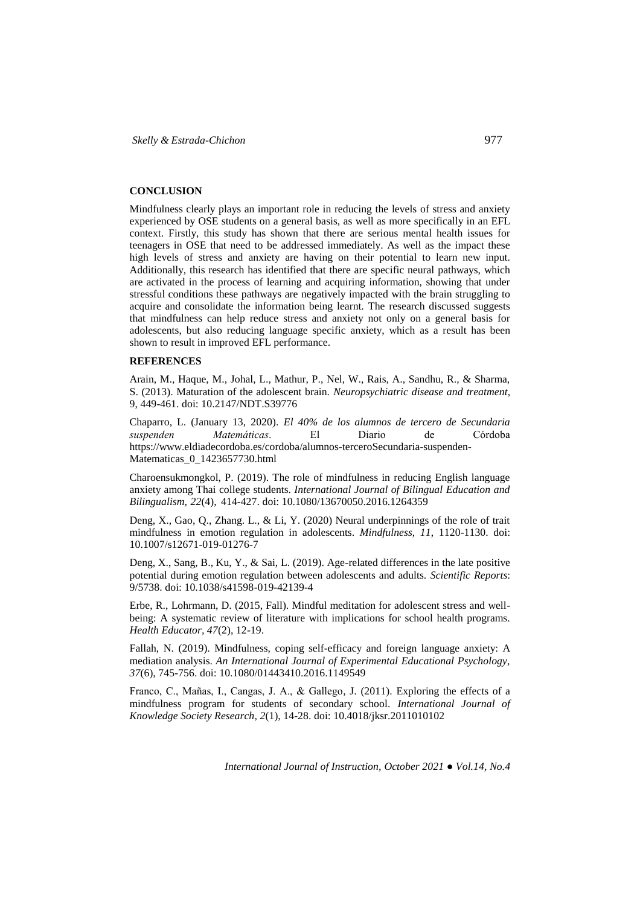#### **CONCLUSION**

Mindfulness clearly plays an important role in reducing the levels of stress and anxiety experienced by OSE students on a general basis, as well as more specifically in an EFL context. Firstly, this study has shown that there are serious mental health issues for teenagers in OSE that need to be addressed immediately. As well as the impact these high levels of stress and anxiety are having on their potential to learn new input. Additionally, this research has identified that there are specific neural pathways, which are activated in the process of learning and acquiring information, showing that under stressful conditions these pathways are negatively impacted with the brain struggling to acquire and consolidate the information being learnt. The research discussed suggests that mindfulness can help reduce stress and anxiety not only on a general basis for adolescents, but also reducing language specific anxiety, which as a result has been shown to result in improved EFL performance.

#### **REFERENCES**

Arain, M., Haque, M., Johal, L., Mathur, P., Nel, W., Rais, A., Sandhu, R., & Sharma, S. (2013). Maturation of the adolescent brain. *Neuropsychiatric disease and treatment*, 9, 449-461. doi: 10.2147/NDT.S39776

Chaparro, L. (January 13, 2020). *El 40% de los alumnos de tercero de Secundaria suspenden Matemáticas*. El Diario de Córdoba [https://www.eldiadecordoba.es/cordoba/alumnos-terceroSecundaria-suspenden-](https://www.eldiadecordoba.es/cordoba/alumnos-terceroSecundaria-suspenden-Matematicas_0_1423657730.html)[Matematicas\\_0\\_1423657730.html](https://www.eldiadecordoba.es/cordoba/alumnos-terceroSecundaria-suspenden-Matematicas_0_1423657730.html)

Charoensukmongkol, P. (2019). The role of mindfulness in reducing English language anxiety among Thai college students. *International Journal of Bilingual Education and Bilingualism, 22*(4), 414-427. doi: 10.1080/13670050.2016.1264359

Deng, X., Gao, Q., Zhang. L., & Li, Y. (2020) Neural underpinnings of the role of trait mindfulness in emotion regulation in adolescents. *Mindfulness*, *11*, 1120-1130. doi: 10.1007/s12671-019-01276-7

Deng, X., Sang, B., Ku, Y., & Sai, L. (2019). Age-related differences in the late positive potential during emotion regulation between adolescents and adults. *Scientific Reports*: 9/5738. doi: 10.1038/s41598-019-42139-4

Erbe, R., Lohrmann, D. (2015, Fall). Mindful meditation for adolescent stress and wellbeing: A systematic review of literature with implications for school health programs. *Health Educator, 47*(2), 12-19.

Fallah, N. (2019). Mindfulness, coping self-efficacy and foreign language anxiety: A mediation analysis. *An International Journal of Experimental Educational Psychology, 37*(6), 745-756. doi: 10.1080/01443410.2016.1149549

Franco, C., Mañas, I., Cangas, J. A., & Gallego, J. (2011). Exploring the effects of a mindfulness program for students of secondary school. *International Journal of Knowledge Society Research*, *2*(1), 14-28. doi: 10.4018/jksr.2011010102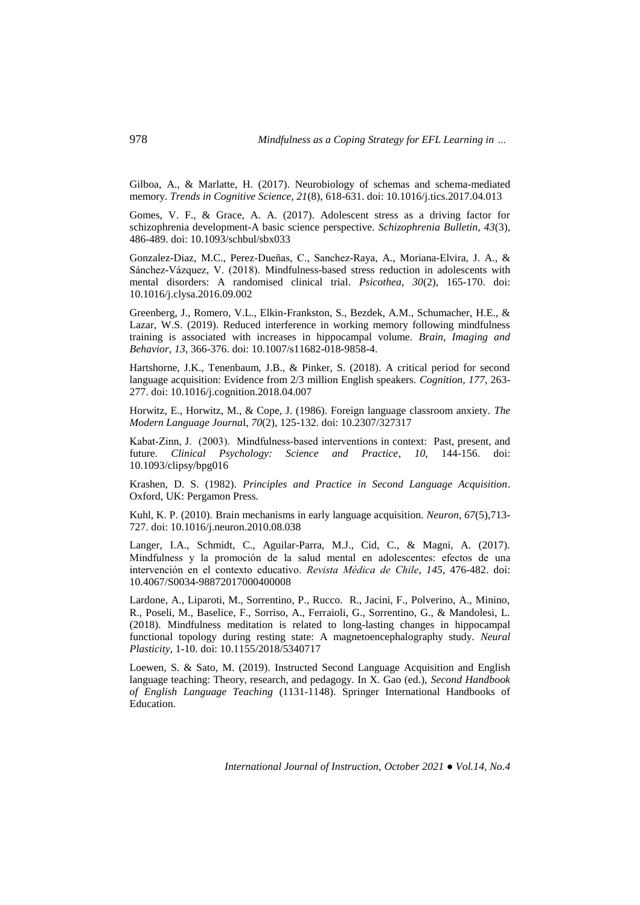Gilboa, A., & Marlatte, H. (2017). Neurobiology of schemas and schema-mediated memory. *Trends in Cognitive Science, 21*(8), 618-631. doi: 10.1016/j.tics.2017.04.013

Gomes, V. F., & Grace, A. A. (2017). Adolescent stress as a driving factor for schizophrenia development-A basic science perspective. *Schizophrenia Bulletin, 43*(3), 486-489. doi: 10.1093/schbul/sbx033

Gonzalez-Diaz, M.C., Perez-Dueñas, C., Sanchez-Raya, A., Moriana-Elvira, J. A., & Sánchez-Vázquez, V. (2018). Mindfulness-based stress reduction in adolescents with mental disorders: A randomised clinical trial. *Psicothea, 30*(2), 165-170. doi: 10.1016/j.clysa.2016.09.002

Greenberg, J., Romero, V.L., Elkin-Frankston, S., Bezdek, A.M., Schumacher, H.E., & Lazar, W.S. (2019). Reduced interference in working memory following mindfulness training is associated with increases in hippocampal volume. *Brain, Imaging and Behavior*, *13*, 366-376. doi: 10.1007/s11682-018-9858-4.

Hartshorne, J.K., Tenenbaum, J.B., & Pinker, S. (2018). A critical period for second language acquisition: Evidence from 2/3 million English speakers. *Cognition*, *177*, 263- 277. doi: 10.1016/j.cognition.2018.04.007

Horwitz, E., Horwitz, M., & Cope, J. (1986). Foreign language classroom anxiety. *The Modern Language Journa*l, *70*(2), 125-132. doi: 10.2307/327317

Kabat-Zinn, J. (2003). Mindfulness-based interventions in context: Past, present, and future. *Clinical Psychology: Science and Practice*, *10*, 144-156. doi: 10.1093/clipsy/bpg016

Krashen, D. S. (1982). *Principles and Practice in Second Language Acquisition*. Oxford, UK: Pergamon Press.

Kuhl, K. P. (2010). Brain mechanisms in early language acquisition. *Neuron, 67*(5),713- 727. doi: 10.1016/j.neuron.2010.08.038

Langer, I.A., Schmidt, C., Aguilar-Parra, M.J., Cid, C., & Magni, A. (2017). Mindfulness y la promoción de la salud mental en adolescentes: efectos de una intervención en el contexto educativo. *Revista Médica de Chile*, *145*, 476-482. doi: 10.4067/S0034-98872017000400008

Lardone, A., Liparoti, M., Sorrentino, P., Rucco. R., Jacini, F., Polverino, A., Minino, R., Poseli, M., Baselice, F., Sorriso, A., Ferraioli, G., Sorrentino, G., & Mandolesi, L. (2018). Mindfulness meditation is related to long-lasting changes in hippocampal functional topology during resting state: A magnetoencephalography study. *Neural Plasticity*, 1-10. doi: 10.1155/2018/5340717

Loewen, S. & Sato, M. (2019). Instructed Second Language Acquisition and English language teaching: Theory, research, and pedagogy. In X. Gao (ed.), *Second Handbook of English Language Teaching* (1131-1148). Springer International Handbooks of Education.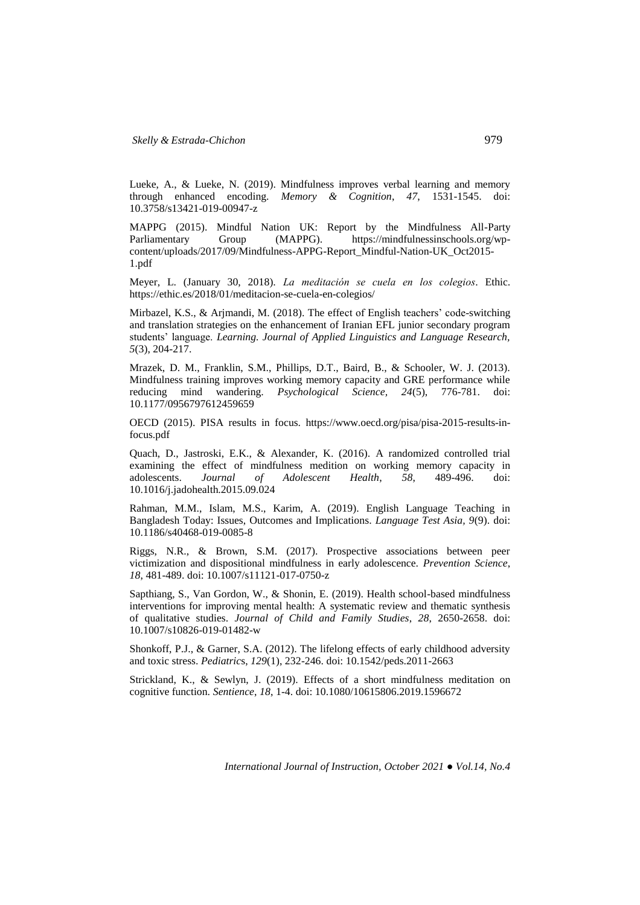Lueke, A., & Lueke, N. (2019). Mindfulness improves verbal learning and memory through enhanced encoding. *Memory & Cognition*, *47*, 1531-1545. doi: 10.3758/s13421-019-00947-z

MAPPG (2015). Mindful Nation UK: Report by the Mindfulness All-Party Parliamentary Group (MAPPG). [https://mindfulnessinschools.org/wp](https://mindfulnessinschools.org/wp-content/uploads/2017/09/Mindfulness-APPG-Report_Mindful-Nation-UK_Oct2015-1.pdf)[content/uploads/2017/09/Mindfulness-APPG-Report\\_Mindful-Nation-UK\\_Oct2015-](https://mindfulnessinschools.org/wp-content/uploads/2017/09/Mindfulness-APPG-Report_Mindful-Nation-UK_Oct2015-1.pdf) [1.pdf](https://mindfulnessinschools.org/wp-content/uploads/2017/09/Mindfulness-APPG-Report_Mindful-Nation-UK_Oct2015-1.pdf)

Meyer, L. (January 30, 2018). *La meditación se cuela en los colegios*. Ethic. <https://ethic.es/2018/01/meditacion-se-cuela-en-colegios/>

Mirbazel, K.S., & Arjmandi, M. (2018). The effect of English teachers' code-switching and translation strategies on the enhancement of Iranian EFL junior secondary program students' language. *Learning. Journal of Applied Linguistics and Language Research, 5*(3), 204-217.

Mrazek, D. M., Franklin, S.M., Phillips, D.T., Baird, B., & Schooler, W. J. (2013). Mindfulness training improves working memory capacity and GRE performance while reducing mind wandering. *Psychological Science, 24*(5), 776-781. doi: 10.1177/0956797612459659

OECD (2015). PISA results in focus. [https://www.oecd.org/pisa/pisa-2015-results-in](https://www.oecd.org/pisa/pisa-2015-results-in-focus.pdf)[focus.pdf](https://www.oecd.org/pisa/pisa-2015-results-in-focus.pdf)

Quach, D., Jastroski, E.K., & Alexander, K. (2016). A randomized controlled trial examining the effect of mindfulness medition on working memory capacity in adolescents. Journal of Adolescent Health, 58, 489-496. doi: adolescents. *Journal of Adolescent Health*, *58*, 489-496. doi: 10.1016/j.jadohealth.2015.09.024

Rahman, M.M., Islam, M.S., Karim, A. (2019). English Language Teaching in Bangladesh Today: Issues, Outcomes and Implications. *Language Test Asia, 9*(9). doi: 10.1186/s40468-019-0085-8

Riggs, N.R., & Brown, S.M. (2017). Prospective associations between peer victimization and dispositional mindfulness in early adolescence. *Prevention Science*, *18*, 481-489. doi: 10.1007/s11121-017-0750-z

Sapthiang, S., Van Gordon, W., & Shonin, E. (2019). Health school-based mindfulness interventions for improving mental health: A systematic review and thematic synthesis of qualitative studies. *Journal of Child and Family Studies*, *28*, 2650-2658. doi: 10.1007/s10826-019-01482-w

Shonkoff, P.J., & Garner, S.A. (2012). The lifelong effects of early childhood adversity and toxic stress. *Pediatric*s, *129*(1), 232-246. doi: 10.1542/peds.2011-2663

Strickland, K., & Sewlyn, J. (2019). Effects of a short mindfulness meditation on cognitive function. *Sentience*, *18*, 1-4. doi: 10.1080/10615806.2019.1596672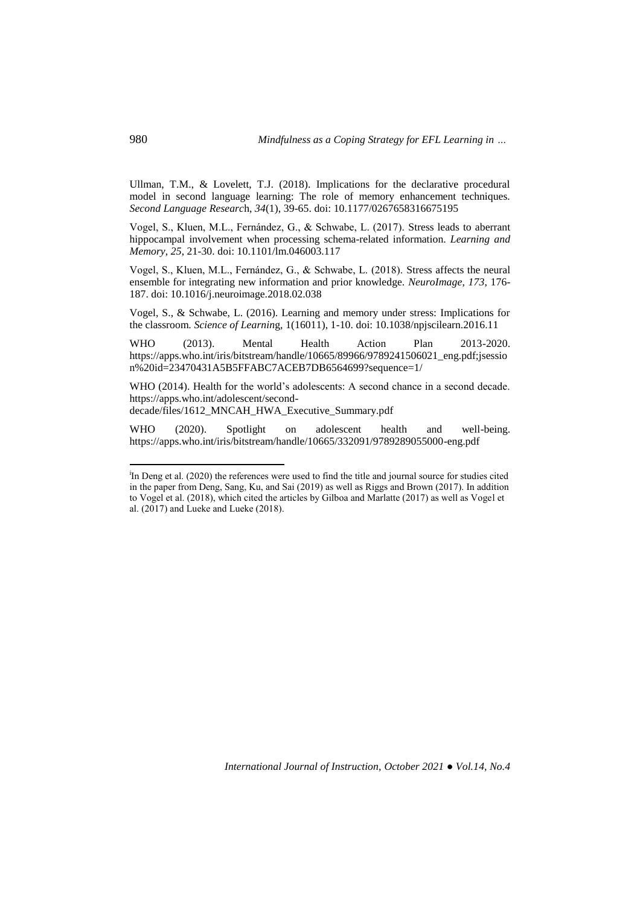Ullman, T.M., & Lovelett, T.J. (2018). Implications for the declarative procedural model in second language learning: The role of memory enhancement techniques. *Second Language Researc*h, *34*(1), 39-65. doi: 10.1177/0267658316675195

Vogel, S., Kluen, M.L., Fernández, G., & Schwabe, L. (2017). Stress leads to aberrant hippocampal involvement when processing schema-related information. *Learning and Memory*, *25*, 21-30. doi: 10.1101/lm.046003.117

Vogel, S., Kluen, M.L., Fernández, G., & Schwabe, L. (2018). Stress affects the neural ensemble for integrating new information and prior knowledge. *NeuroImage*, *173*, 176- 187. doi: 10.1016/j.neuroimage.2018.02.038

Vogel, S., & Schwabe, L. (2016). Learning and memory under stress: Implications for the classroom. *Science of Learnin*g, 1(16011), 1-10. doi: 10.1038/npjscilearn.2016.11

WHO (2013). Mental Health Action Plan 2013-2020. [https://apps.who.int/iris/bitstream/handle/10665/89966/9789241506021\\_eng.pdf;jsessio](https://apps.who.int/iris/bitstream/handle/10665/89966/9789241506021_eng.pdf;jsession%20id=23470431A5B5FFABC7ACEB7DB6564699?sequence=1/) [n%20id=23470431A5B5FFABC7ACEB7DB6564699?sequence=1/](https://apps.who.int/iris/bitstream/handle/10665/89966/9789241506021_eng.pdf;jsession%20id=23470431A5B5FFABC7ACEB7DB6564699?sequence=1/)

WHO (2014). Health for the world's adolescents: A second chance in a second decade. [https://apps.who.int/adolescent/second-](https://apps.who.int/adolescent/second-%20decade/files/1612_MNCAH_HWA_Executive_Summary.pdf)

[decade/files/1612\\_MNCAH\\_HWA\\_Executive\\_Summary.pdf](https://apps.who.int/adolescent/second-%20decade/files/1612_MNCAH_HWA_Executive_Summary.pdf)

WHO (2020). Spotlight on adolescent health and well-being. <https://apps.who.int/iris/bitstream/handle/10665/332091/9789289055000-eng.pdf>

 $\overline{a}$ 

<sup>&</sup>lt;sup>i</sup>In Deng et al. (2020) the references were used to find the title and journal source for studies cited in the paper from Deng, Sang, Ku, and Sai (2019) as well as Riggs and Brown (2017). In addition to Vogel et al. (2018), which cited the articles by Gilboa and Marlatte (2017) as well as Vogel et al. (2017) and Lueke and Lueke (2018).